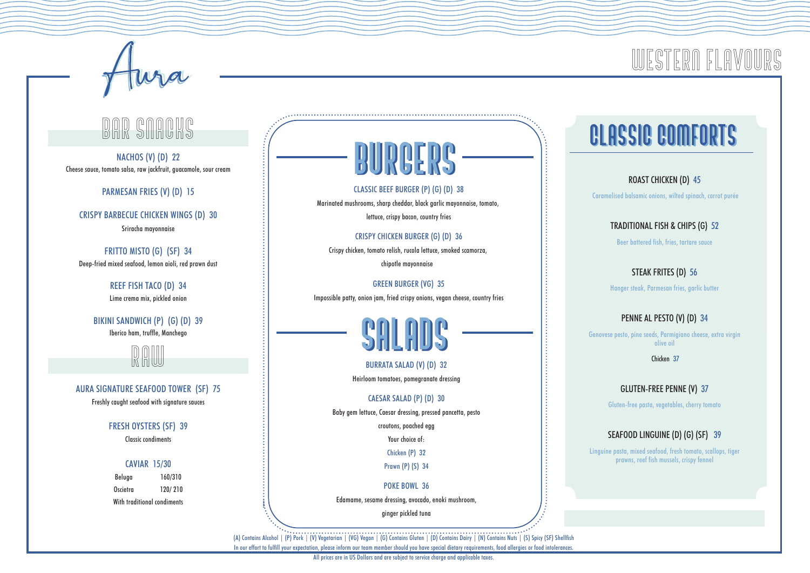

### SNACKS

NACHOS (V) (D) 22 Cheese sauce, tomato salsa, raw jackfruit, guacamole, sour cream

PARMESAN FRIES (V) (D) 15

CRISPY BARBECUE CHICKEN WINGS (D) 30

Sriracha mayonnaise

FRITTO MISTO (G) (SF) 34 Deep-fried mixed seafood, lemon aioli, red prawn dust

> REEF FISH TACO (D) 34 Lime crema mix, pickled onion

BIKINI SANDWICH (P) (G) (D) 39 Iberico ham, truffle, Manchego



AURA SIGNATURE SEAFOOD TOWER (SF) 75 Freshly caught seafood with signature sauces

FRESH OYSTERS (SF) 39

Classic condiments

#### CAVIAR 15/30

Beluga 160/310 Oscietra 120/ 210 With traditional condiments

**BURGERS** CLASSIC BEEF BURGER (P) (G) (D) 38

Marinated mushrooms, sharp cheddar, black garlic mayonnaise, tomato, lettuce, crispy bacon, country fries

#### CRISPY CHICKEN BURGER (G) (D) 36

Crispy chicken, tomato relish, rucola lettuce, smoked scamorza, chipotle mayonnaise

GREEN BURGER (VG) 35 Impossible patty, onion jam, fried crispy onions, vegan cheese, country fries



BURRATA SALAD (V) (D) 32 Heirloom tomatoes, pomegranate dressing

#### CAESAR SALAD (P) (D) 30

Baby gem lettuce, Caesar dressing, pressed pancetta, pesto

croutons, poached egg

Your choice of.

Chicken (P) 32

Prawn (P) (S) 34

POKE BOWL 36

Edamame, sesame dressing, avocado, enoki mushroom,

ginger pickled tuna

(A) Contains Alcohol | (P) Pork | (V) Vegetarian | (VG) Vegan | (G) Contains Gluten | (D) Contains Dairy | (N) Contains Nuts | (S) Spicy (SF) Shellfish In our effort to fulfill your expectation, please inform our team member should you have special dietary requirements, food allergies or food intolerances.

All prices are in US Dollars and are subject to service charge and applicable taxes.

# CLassic Comforts Classic Comforts

WESTERN FI AV

ROAST CHICKEN (D) 45 Caramelised balsamic onions, wilted spinach, carrot purée

TRADITIONAL FISH & CHIPS (G) 52

Beer battered fish, fries, tartare sauce

STEAK FRITES (D) 56 Hanger steak, Parmesan fries, garlic butter

#### PENNE AL PESTO (V) (D) 34

Genovese pesto, pine seeds, Parmigiano cheese, extra virgin olive oil

Chicken 37

#### GLUTEN-FREE PENNE (V) 37

Gluten-free pasta, vegetables, cherry tomato

#### SEAFOOD LINGUINE (D) (G) (SF) 39

Linguine pasta, mixed seafood, fresh tomato, scallops, tiger prawns, reef fish mussels, crispy fennel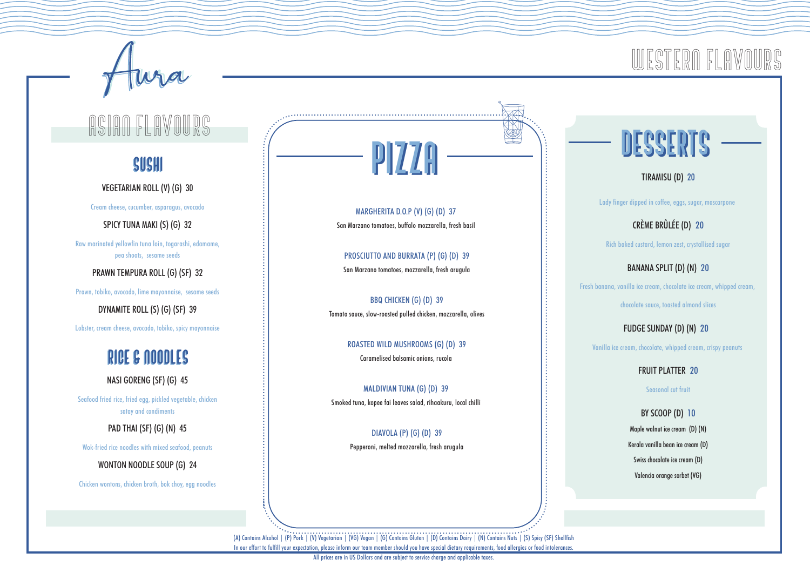# ASIAN FLAVOURS (COMPOSITION DESSERTS

#### SUSHI  $\overline{P}$  $\overline{Z}$ SUSHI

VEGETARIAN ROLL (V) (G) 30

Cream cheese, cucumber, asparagus, avocado

SPICY TUNA MAKI (S) (G) 32

Raw marinated yellowfin tuna loin, togarashi, edamame, pea shoots, sesame seeds

PRAWN TEMPURA ROLL (G) (SF) 32

Prawn, tobiko, avocado, lime mayonnaise, sesame seeds

DYNAMITE ROLL (S) (G) (SF) 39

Lobster, cream cheese, avocado, tobiko, spicy mayonnaise

### RICE & NOODLES RICE & NOODLES

NASI GORENG (SF) (G) 45

Seafood fried rice, fried egg, pickled vegetable, chicken satay and condiments

PAD THAI (SF) (G) (N) 45

Wok-fried rice noodles with mixed seafood, peanuts

WONTON NOODLE SOUP (G) 24

Chicken wontons, chicken broth, bok choy, egg noodles

MARGHERITA D.O.P (V) (G) (D) 37 San Marzano tomatoes, buffalo mozzarella, fresh basil

PROSCIUTTO AND BURRATA (P) (G) (D) 39 San Marzano tomatoes, mozzarella, fresh arugula

BBQ CHICKEN (G) (D) 39 Tomato sauce, slow-roasted pulled chicken, mozzarella, olives

> ROASTED WILD MUSHROOMS (G) (D) 39 Caramelised balsamic onions, rucola

MALDIVIAN TUNA (G) (D) 39 Smoked tuna, kopee fai leaves salad, rihaakuru, local chilli

> DIAVOLA (P) (G) (D) 39 Pepperoni, melted mozzarella, fresh arugula

## WESTERN FI AVN

TIRAMISU (D) 20

Lady finger dipped in coffee, eggs, sugar, mascarpone

CRÈME BRÛLÉE (D) 20 Rich baked custard, lemon zest, crystallised sugar

BANANA SPLIT (D) (N) 20

Fresh banana, vanilla ice cream, chocolate ice cream, whipped cream,

chocolate sauce, toasted almond slices

FUDGE SUNDAY (D) (N) 20

Vanilla ice cream, chocolate, whipped cream, crispy peanuts

FRUIT PLATTER 20

Seasonal cut fruit

BY SCOOP (D) 10 Maple walnut ice cream (D) (N) Kerala vanilla bean ice cream (D) Swiss chocolate ice cream (D) Valencia orange sorbet (VG)

(A) Contains Alcohol | (P) Pork | (V) Vegetarian | (VG) Vegan | (G) Contains Gluten | (D) Contains Dairy | (N) Contains Nuts | (S) Spicy (SF) Shellfish In our effort to fulfill your expectation, please inform our team member should you have special dietary requirements, food allergies or food intolerances.

All prices are in US Dollars and are subject to service charge and applicable taxes.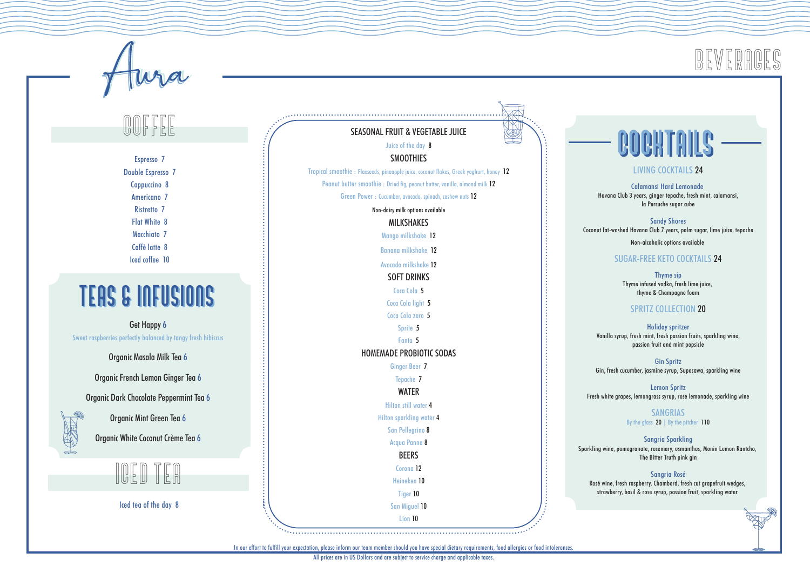

In our effort to fulfill your expectation, please inform our team member should you have special dietary requirements, food allergies or food intolerances.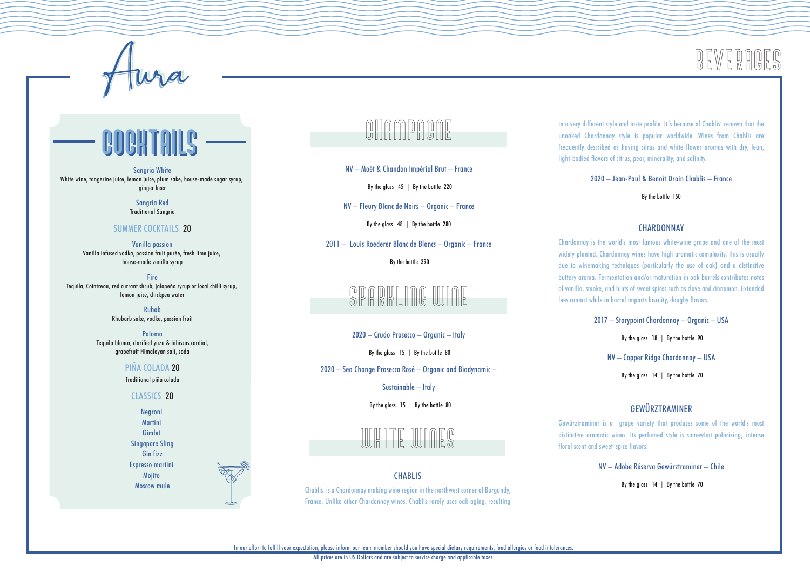

# COCKTAILS COCKTAILS

**Sangria White** White wine, tangerine juice, lemon juice, plum sake, house-made sugar syrup, ginger beer

> Sangria Red Traditional Sangria

#### SUMMER COCKTAILS 20

Vanilla passion Vanilla infused vodka, passion fruit purée, fresh lime juice, house-made vanilla syrup

**Fire** Tequila, Cointreau, red currant shrub, jalapeño syrup or local chilli syrup, lemon juice, chickpea water

> Rubab Rhubarb sake, vodka, passion fruit

Paloma Tequila blanco, clarified yuzu & hibiscus cordial, grapefruit Himalayan salt, soda

#### PIÑA COLADA 20

Traditional piña colada

#### CLASSICS 20

Negroni Martini Gimlet Singapore Sling Gin fizz Espresso martini **Mojito** Moscow mule

### CHAMPAGNE

NV – Moët & Chandon Impérial Brut – France

By the glass 45 | By the bottle 220

NV – Fleury Blanc de Noirs – Organic – France

By the glass 48 | By the bottle 280

2011 – Louis Roederer Blanc de Blancs – Organic – France

By the bottle 390

### ING WINE

2020 – Crudo Prosecco – Organic – Italy

By the glass 15 | By the bottle 80

2020 – Sea Change Prosecco Rosé – Organic and Biodynamic –

#### Sustainable – Italy

By the glass 15 | By the bottle 80



#### **CHABLIS**

Chablis is a Chardonnay making wine region in the northwest corner of Burgundy, France. Unlike other Chardonnay wines, Chablis rarely uses oak-aging, resulting in a very different style and taste profile. It's because of Chablis' renown that the unoaked Chardonnay style is popular worldwide. Wines from Chablis are frequently described as having citrus and white flower aromas with dry, lean, light-bodied flavors of citrus, pear, minerality, and salinity.

BEVERAGES

2020 – Jean-Paul & Benoît Droin Chablis – France

By the bottle 150

#### **CHARDONNAY**

Chardonnay is the world's most famous white-wine grape and one of the most widely planted. Chardonnay wines have high aromatic complexity, this is usually due to winemaking techniques (particularly the use of oak) and a distinctive buttery aroma. Fermentation and/or maturation in oak barrels contributes notes of vanilla, smoke, and hints of sweet spices such as clove and cinnamon. Extended lees contact while in barrel imparts biscuity, doughy flavors.

2017 – Storypoint Chardonnay – Organic – USA

By the glass 18 | By the bottle 90

NV – Copper Ridge Chardonnay – USA

By the glass 14 | By the bottle 70

#### **GEWÜRZTRAMINER**

Gewürztraminer is a grape variety that produces some of the world's most distinctive aromatic wines. Its perfumed style is somewhat polarizing; intense floral scent and sweet-spice flavors.

NV – Adobe Réserva Gewürztraminer – Chile

By the glass 14 | By the bottle 70

In our effort to fulfill your expectation, please inform our team member should you have special dietary requirements, food allergies or food intolerances.

All prices are in US Dollars and are subject to service charge and applicable taxes.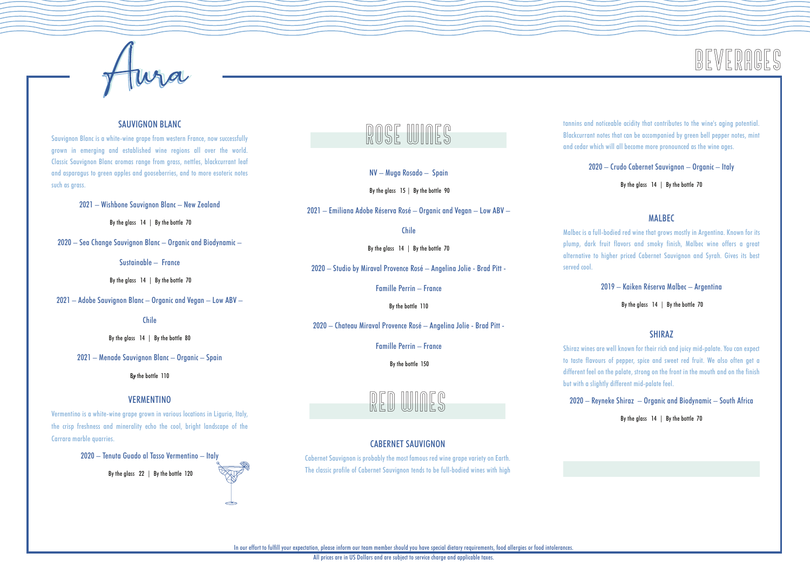

#### SAUVIGNON BLANC

Sauvignon Blanc is a white-wine grape from western France, now successfully grown in emerging and established wine regions all over the world. Classic Sauvignon Blanc aromas range from grass, nettles, blackcurrant leaf and asparagus to green apples and gooseberries, and to more esoteric notes such as arass.

2021 – Wishbone Sauvignon Blanc – New Zealand

By the glass 14 | By the bottle 70

2020 – Sea Change Sauvignon Blanc – Organic and Biodynamic –

Sustainable – France

By the glass 14 | By the bottle 70

2021 – Adobe Sauvignon Blanc – Organic and Vegan – Low ABV –

Chile

By the glass 14 | By the bottle 80

2021 – Menade Sauvignon Blanc – Organic – Spain

By the bottle 110

#### **VERMENTINO**

Vermentino is a white-wine grape grown in various locations in Liguria, Italy, the crisp freshness and minerality echo the cool, bright landscape of the Carrara marble quarries.

2020 – Tenuta Guado al Tasso Vermentino – Italy

By the glass 22 | By the bottle 120



NV – Muga Rosado – Spain

By the glass 15 | By the bottle 90

2021 – Emiliana Adobe Réserva Rosé – Organic and Vegan – Low ABV –

Chile

By the glass 14 | By the bottle 70

2020 – Studio by Miraval Provence Rosé – Angelina Jolie - Brad Pitt -

Famille Perrin – France

By the bottle 110

2020 – Chateau Miraval Provence Rosé – Angelina Jolie - Brad Pitt -

Famille Perrin – France

By the bottle 150

RED WINES

#### CABERNET SAUVIGNON

Cabernet Sauvignon is probably the most famous red wine grape variety on Earth. The classic profile of Cabernet Sauvignon tends to be full-bodied wines with high tannins and noticeable acidity that contributes to the wine's aging potential. Blackcurrant notes that can be accompanied by green bell pepper notes, mint and cedar which will all become more pronounced as the wine ages.

BEVERAGES

2020 – Crudo Cabernet Sauvignon – Organic – Italy

By the glass 14 | By the bottle 70

#### **MAIREC**

Malbec is a full-bodied red wine that grows mostly in Argentina. Known for its plump, dark fruit flavors and smoky finish, Malbec wine offers a great alternative to higher priced Cabernet Sauvignon and Syrah. Gives its best served cool.

2019 – Kaiken Réserva Malbec – Argentina

By the glass 14 | By the bottle 70

#### SHIRAZ

Shiraz wines are well known for their rich and juicy mid-palate. You can expect to taste flavours of pepper, spice and sweet red fruit. We also often get a different feel on the palate, strong on the front in the mouth and on the finish but with a slightly different mid-palate feel.

2020 – Reyneke Shiraz – Organic and Biodynamic – South Africa

By the glass 14 | By the bottle 70

In our effort to fulfill your expectation, please inform our team member should you have special dietary requirements, food allergies or food intolerances.